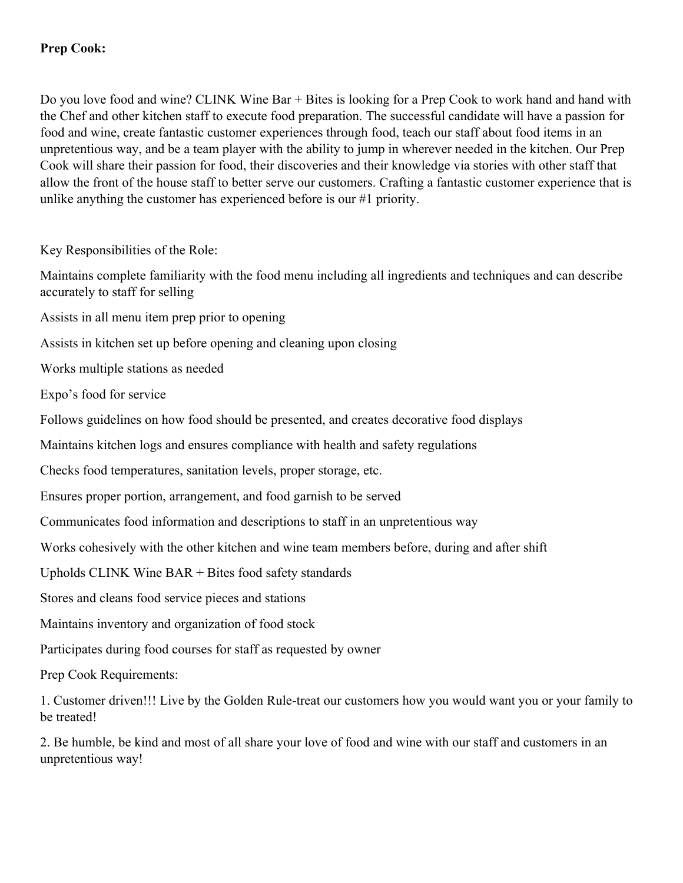Do you love food and wine? CLINK Wine Bar + Bites is looking for a Prep Cook to work hand and hand with the Chef and other kitchen staff to execute food preparation. The successful candidate will have a passion for food and wine, create fantastic customer experiences through food, teach our staff about food items in an unpretentious way, and be a team player with the ability to jump in wherever needed in the kitchen. Our Prep Cook will share their passion for food, their discoveries and their knowledge via stories with other staff that allow the front of the house staff to better serve our customers. Crafting a fantastic customer experience that is unlike anything the customer has experienced before is our #1 priority.

Key Responsibilities of the Role:

Maintains complete familiarity with the food menu including all ingredients and techniques and can describe accurately to staff for selling

Assists in all menu item prep prior to opening

Assists in kitchen set up before opening and cleaning upon closing

Works multiple stations as needed

Expo's food for service

Follows guidelines on how food should be presented, and creates decorative food displays

Maintains kitchen logs and ensures compliance with health and safety regulations

Checks food temperatures, sanitation levels, proper storage, etc.

Ensures proper portion, arrangement, and food garnish to be served

Communicates food information and descriptions to staff in an unpretentious way

Works cohesively with the other kitchen and wine team members before, during and after shift

Upholds CLINK Wine BAR + Bites food safety standards

Stores and cleans food service pieces and stations

Maintains inventory and organization of food stock

Participates during food courses for staff as requested by owner

Prep Cook Requirements:

1. Customer driven!!! Live by the Golden Rule-treat our customers how you would want you or your family to be treated!

2. Be humble, be kind and most of all share your love of food and wine with our staff and customers in an unpretentious way!